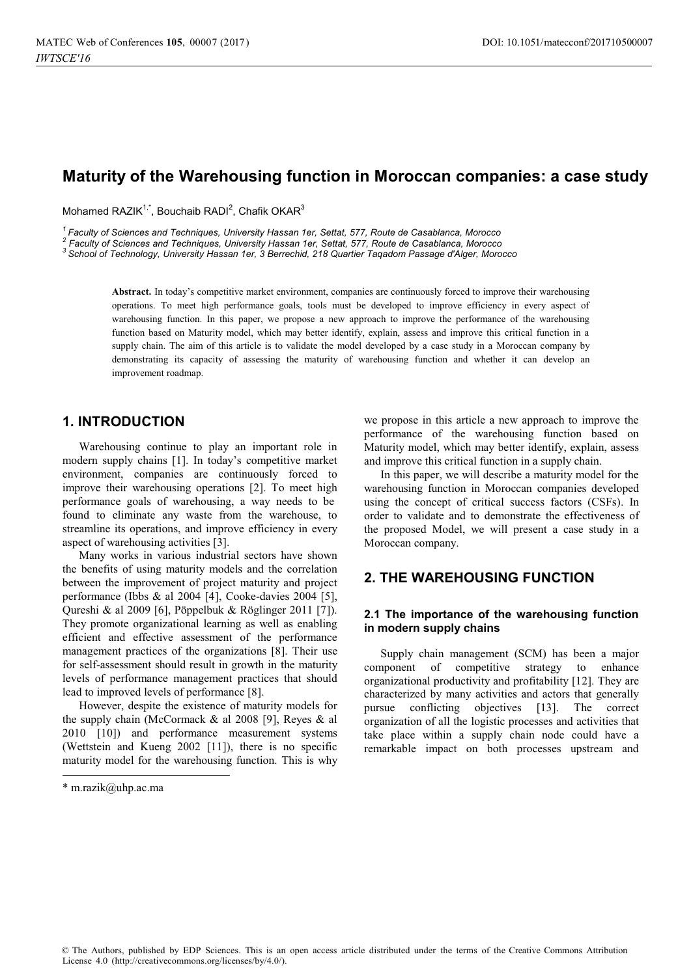# **Maturity of the Warehousing function in Moroccan companies: a case study**

Mohamed RAZIK<sup>1,\*</sup>, Bouchaib RADI<sup>2</sup>, Chafik OKAR<sup>3</sup>

<sup>1</sup> Faculty of Sciences and Techniques, University Hassan 1er, Settat, 577, Route de Casablanca, Morocco <sup>2</sup> Faculty of Sciences and Techniques, University Hassan 1er, Settat, 577, Route de Casablanca, Morocco

 *Faculty of Sciences and Techniques, University Hassan 1er, Settat, 577, Route de Casablanca, Morocco 3 School of Technology, University Hassan 1er, 3 Berrechid, 218 Quartier Taqadom Passage d'Alger, Morocco*

**Abstract.** In today's competitive market environment, companies are continuously forced to improve their warehousing operations. To meet high performance goals, tools must be developed to improve efficiency in every aspect of warehousing function. In this paper, we propose a new approach to improve the performance of the warehousing function based on Maturity model, which may better identify, explain, assess and improve this critical function in a supply chain. The aim of this article is to validate the model developed by a case study in a Moroccan company by demonstrating its capacity of assessing the maturity of warehousing function and whether it can develop an improvement roadmap.

## **1. INTRODUCTION**

Warehousing continue to play an important role in modern supply chains [1]. In today's competitive market environment, companies are continuously forced to improve their warehousing operations [2]. To meet high performance goals of warehousing, a way needs to be found to eliminate any waste from the warehouse, to streamline its operations, and improve efficiency in every aspect of warehousing activities [3].

Many works in various industrial sectors have shown the benefits of using maturity models and the correlation between the improvement of project maturity and project performance (Ibbs & al 2004 [4], Cooke-davies 2004 [5], Qureshi & al 2009 [6], Pöppelbuk & Röglinger 2011 [7]). They promote organizational learning as well as enabling efficient and effective assessment of the performance management practices of the organizations [8]. Their use for self-assessment should result in growth in the maturity levels of performance management practices that should lead to improved levels of performance [8].

However, despite the existence of maturity models for the supply chain (McCormack & al 2008 [9], Reyes & al 2010 [10]) and performance measurement systems (Wettstein and Kueng 2002 [11]), there is no specific maturity model for the warehousing function. This is why

j

we propose in this article a new approach to improve the performance of the warehousing function based on Maturity model, which may better identify, explain, assess and improve this critical function in a supply chain.

In this paper, we will describe a maturity model for the warehousing function in Moroccan companies developed using the concept of critical success factors (CSFs). In order to validate and to demonstrate the effectiveness of the proposed Model, we will present a case study in a Moroccan company.

## **2. THE WAREHOUSING FUNCTION**

#### **2.1 The importance of the warehousing function in modern supply chains**

Supply chain management (SCM) has been a major component of competitive strategy to enhance organizational productivity and profitability [12]. They are characterized by many activities and actors that generally pursue conflicting objectives [13]. The correct organization of all the logistic processes and activities that take place within a supply chain node could have a remarkable impact on both processes upstream and

<sup>\*</sup> m.razik@uhp.ac.ma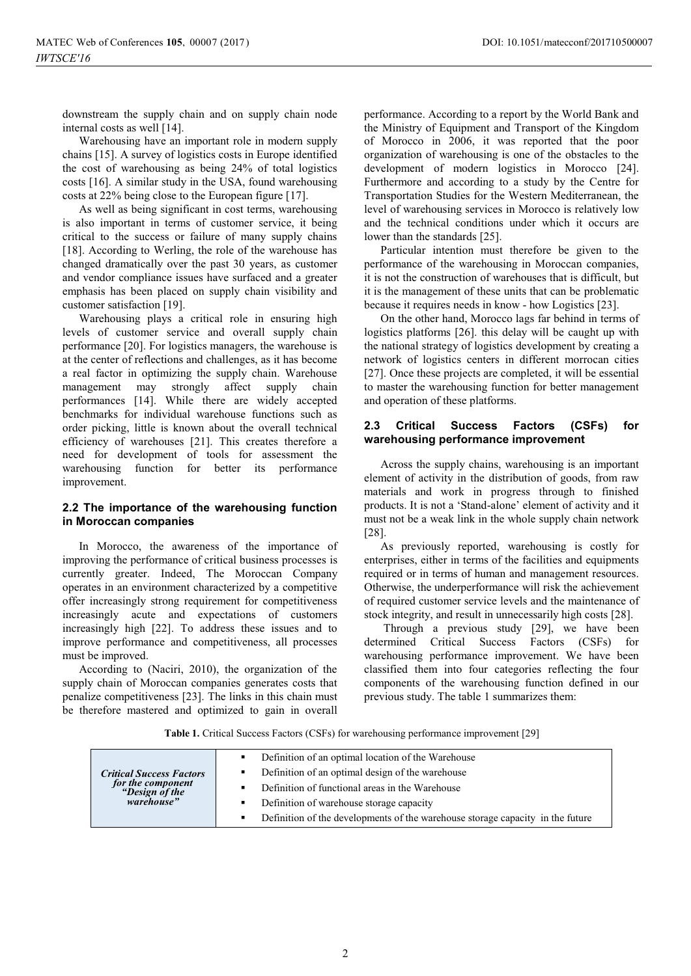downstream the supply chain and on supply chain node internal costs as well [14].

Warehousing have an important role in modern supply chains [15]. A survey of logistics costs in Europe identified the cost of warehousing as being 24% of total logistics costs [16]. A similar study in the USA, found warehousing costs at 22% being close to the European figure [17].

As well as being significant in cost terms, warehousing is also important in terms of customer service, it being critical to the success or failure of many supply chains [18]. According to Werling, the role of the warehouse has changed dramatically over the past 30 years, as customer and vendor compliance issues have surfaced and a greater emphasis has been placed on supply chain visibility and customer satisfaction [19].

Warehousing plays a critical role in ensuring high levels of customer service and overall supply chain performance [20]. For logistics managers, the warehouse is at the center of reflections and challenges, as it has become a real factor in optimizing the supply chain. Warehouse management may strongly affect supply chain performances [14]. While there are widely accepted benchmarks for individual warehouse functions such as order picking, little is known about the overall technical efficiency of warehouses [21]. This creates therefore a need for development of tools for assessment the warehousing function for better its performance improvement.

## **2.2 The importance of the warehousing function in Moroccan companies**

In Morocco, the awareness of the importance of improving the performance of critical business processes is currently greater. Indeed, The Moroccan Company operates in an environment characterized by a competitive offer increasingly strong requirement for competitiveness increasingly acute and expectations of customers increasingly high [22]. To address these issues and to improve performance and competitiveness, all processes must be improved.

According to (Naciri, 2010), the organization of the supply chain of Moroccan companies generates costs that penalize competitiveness [23]. The links in this chain must be therefore mastered and optimized to gain in overall performance. According to a report by the World Bank and the Ministry of Equipment and Transport of the Kingdom of Morocco in 2006, it was reported that the poor organization of warehousing is one of the obstacles to the development of modern logistics in Morocco [24]. Furthermore and according to a study by the Centre for Transportation Studies for the Western Mediterranean, the level of warehousing services in Morocco is relatively low and the technical conditions under which it occurs are lower than the standards [25].

Particular intention must therefore be given to the performance of the warehousing in Moroccan companies, it is not the construction of warehouses that is difficult, but it is the management of these units that can be problematic because it requires needs in know - how Logistics [23].

On the other hand, Morocco lags far behind in terms of logistics platforms [26]. this delay will be caught up with the national strategy of logistics development by creating a network of logistics centers in different morrocan cities [27]. Once these projects are completed, it will be essential to master the warehousing function for better management and operation of these platforms.

### **2.3 Critical Success Factors (CSFs) for warehousing performance improvement**

Across the supply chains, warehousing is an important element of activity in the distribution of goods, from raw materials and work in progress through to finished products. It is not a 'Stand-alone' element of activity and it must not be a weak link in the whole supply chain network [28].

As previously reported, warehousing is costly for enterprises, either in terms of the facilities and equipments required or in terms of human and management resources. Otherwise, the underperformance will risk the achievement of required customer service levels and the maintenance of stock integrity, and result in unnecessarily high costs [28].

 Through a previous study [29], we have been determined Critical Success Factors (CSFs) for warehousing performance improvement. We have been classified them into four categories reflecting the four components of the warehousing function defined in our previous study. The table 1 summarizes them:

**Table 1.** Critical Success Factors (CSFs) for warehousing performance improvement [29]

|                                                                                      | Definition of an optimal location of the Warehouse                             |
|--------------------------------------------------------------------------------------|--------------------------------------------------------------------------------|
| <b>Critical Success Factors</b><br>for the component<br>"Design of the<br>warehouse" | Definition of an optimal design of the warehouse                               |
|                                                                                      | Definition of functional areas in the Warehouse                                |
|                                                                                      | Definition of warehouse storage capacity                                       |
|                                                                                      | Definition of the developments of the warehouse storage capacity in the future |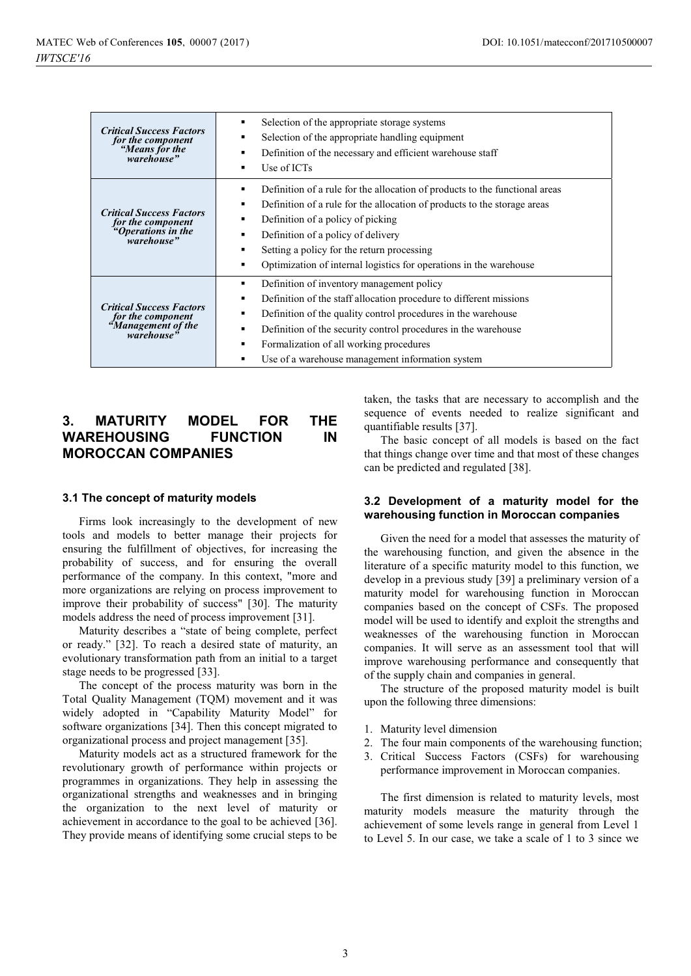| <b>Critical Success Factors</b><br>for the component<br>"Means for the<br>warehouse"                                                                                                                                                                                                                                                                                                                                                          | Selection of the appropriate storage systems<br>Selection of the appropriate handling equipment<br>Definition of the necessary and efficient warehouse staff<br>Use of ICTs<br>$\blacksquare$                                                                                                                                                          |  |
|-----------------------------------------------------------------------------------------------------------------------------------------------------------------------------------------------------------------------------------------------------------------------------------------------------------------------------------------------------------------------------------------------------------------------------------------------|--------------------------------------------------------------------------------------------------------------------------------------------------------------------------------------------------------------------------------------------------------------------------------------------------------------------------------------------------------|--|
| <b>Critical Success Factors</b><br>for the component<br>"Operations in the<br>warehouse"                                                                                                                                                                                                                                                                                                                                                      | Definition of a rule for the allocation of products to the functional areas<br>Definition of a rule for the allocation of products to the storage areas<br>Definition of a policy of picking<br>Definition of a policy of delivery<br>Setting a policy for the return processing<br>Optimization of internal logistics for operations in the warehouse |  |
| Definition of inventory management policy<br>Definition of the staff allocation procedure to different missions<br><b>Critical Success Factors</b><br>Definition of the quality control procedures in the warehouse<br>for the component<br>"Management of the<br>Definition of the security control procedures in the warehouse<br>warehouse"<br>Formalization of all working procedures<br>Use of a warehouse management information system |                                                                                                                                                                                                                                                                                                                                                        |  |

## **3. MATURITY MODEL FOR THE WAREHOUSING FUNCTION IN MOROCCAN COMPANIES**

#### **3.1 The concept of maturity models**

Firms look increasingly to the development of new tools and models to better manage their projects for ensuring the fulfillment of objectives, for increasing the probability of success, and for ensuring the overall performance of the company. In this context, "more and more organizations are relying on process improvement to improve their probability of success" [30]. The maturity models address the need of process improvement [31].

Maturity describes a "state of being complete, perfect or ready." [32]. To reach a desired state of maturity, an evolutionary transformation path from an initial to a target stage needs to be progressed [33].

The concept of the process maturity was born in the Total Quality Management (TQM) movement and it was widely adopted in "Capability Maturity Model" for software organizations [34]. Then this concept migrated to organizational process and project management [35].

Maturity models act as a structured framework for the revolutionary growth of performance within projects or programmes in organizations. They help in assessing the organizational strengths and weaknesses and in bringing the organization to the next level of maturity or achievement in accordance to the goal to be achieved [36]. They provide means of identifying some crucial steps to be taken, the tasks that are necessary to accomplish and the sequence of events needed to realize significant and quantifiable results [37].

The basic concept of all models is based on the fact that things change over time and that most of these changes can be predicted and regulated [38].

#### **3.2 Development of a maturity model for the warehousing function in Moroccan companies**

Given the need for a model that assesses the maturity of the warehousing function, and given the absence in the literature of a specific maturity model to this function, we develop in a previous study [39] a preliminary version of a maturity model for warehousing function in Moroccan companies based on the concept of CSFs. The proposed model will be used to identify and exploit the strengths and weaknesses of the warehousing function in Moroccan companies. It will serve as an assessment tool that will improve warehousing performance and consequently that of the supply chain and companies in general.

The structure of the proposed maturity model is built upon the following three dimensions:

- 1. Maturity level dimension
- 2. The four main components of the warehousing function;
- 3. Critical Success Factors (CSFs) for warehousing performance improvement in Moroccan companies.

The first dimension is related to maturity levels, most maturity models measure the maturity through the achievement of some levels range in general from Level 1 to Level 5. In our case, we take a scale of 1 to 3 since we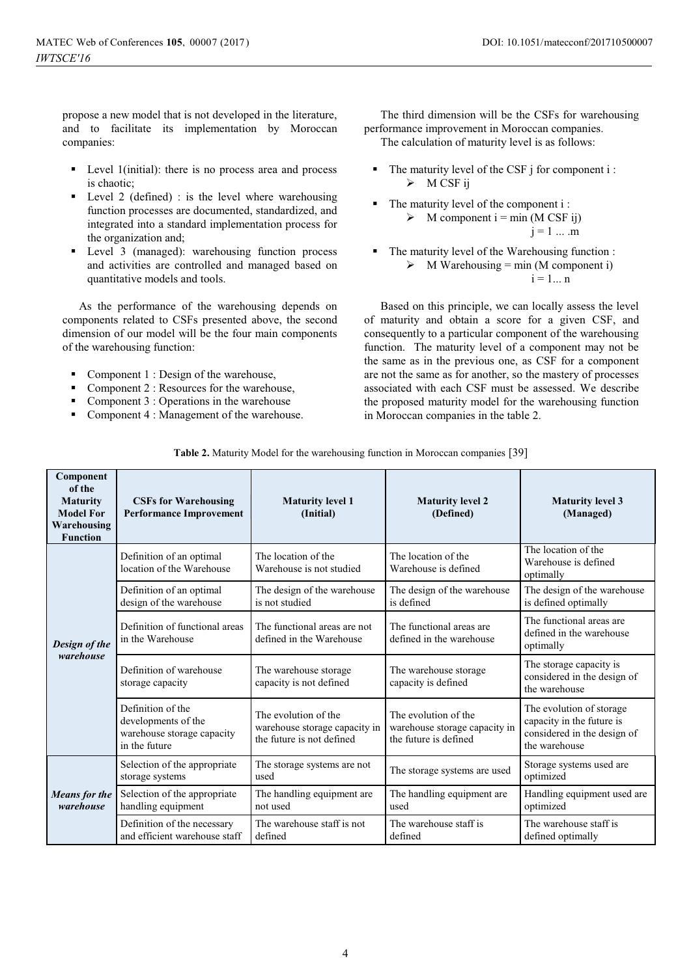propose a new model that is not developed in the literature, and to facilitate its implementation by Moroccan companies:

- - Level 1(initial): there is no process area and process is chaotic;
- - Level 2 (defined) : is the level where warehousing function processes are documented, standardized, and integrated into a standard implementation process for the organization and;
- - Level 3 (managed): warehousing function process and activities are controlled and managed based on quantitative models and tools.

As the performance of the warehousing depends on components related to CSFs presented above, the second dimension of our model will be the four main components of the warehousing function:

- -Component 1 : Design of the warehouse,
- -Component 2 : Resources for the warehouse,
- -Component 3 : Operations in the warehouse
- -Component 4 : Management of the warehouse.

The third dimension will be the CSFs for warehousing performance improvement in Moroccan companies. The calculation of maturity level is as follows:

- -The maturity level of the CSF j for component i : > M CSF ij
- - The maturity level of the component i :  $\triangleright$  M component i = min (M CSF ij)  $j = 1 ... m$
- - The maturity level of the Warehousing function :  $\triangleright$  M Warehousing = min (M component i)  $i = 1...n$

Based on this principle, we can locally assess the level of maturity and obtain a score for a given CSF, and consequently to a particular component of the warehousing function. The maturity level of a component may not be the same as in the previous one, as CSF for a component are not the same as for another, so the mastery of processes associated with each CSF must be assessed. We describe the proposed maturity model for the warehousing function in Moroccan companies in the table 2.

| Component<br>of the<br><b>Maturity</b><br><b>Model For</b><br>Warehousing<br><b>Function</b> | <b>CSFs for Warehousing</b><br><b>Performance Improvement</b>                           | <b>Maturity level 1</b><br>(Initial)                                               | <b>Maturity level 2</b><br>(Defined)                                           | <b>Maturity level 3</b><br>(Managed)                                                                  |
|----------------------------------------------------------------------------------------------|-----------------------------------------------------------------------------------------|------------------------------------------------------------------------------------|--------------------------------------------------------------------------------|-------------------------------------------------------------------------------------------------------|
|                                                                                              | Definition of an optimal<br>location of the Warehouse                                   | The location of the<br>Warehouse is not studied                                    | The location of the<br>Warehouse is defined                                    | The location of the<br>Warehouse is defined<br>optimally                                              |
|                                                                                              | Definition of an optimal<br>design of the warehouse                                     | The design of the warehouse<br>is not studied                                      | The design of the warehouse<br>is defined                                      | The design of the warehouse<br>is defined optimally                                                   |
| Design of the<br>warehouse                                                                   | Definition of functional areas<br>in the Warehouse                                      | The functional areas are not<br>defined in the Warehouse                           | The functional areas are<br>defined in the warehouse                           | The functional areas are<br>defined in the warehouse<br>optimally                                     |
|                                                                                              | Definition of warehouse<br>storage capacity                                             | The warehouse storage<br>capacity is not defined                                   | The warehouse storage<br>capacity is defined                                   | The storage capacity is<br>considered in the design of<br>the warehouse                               |
|                                                                                              | Definition of the<br>developments of the<br>warehouse storage capacity<br>in the future | The evolution of the<br>warehouse storage capacity in<br>the future is not defined | The evolution of the<br>warehouse storage capacity in<br>the future is defined | The evolution of storage<br>capacity in the future is<br>considered in the design of<br>the warehouse |
| <b>Means</b> for the<br>warehouse                                                            | Selection of the appropriate<br>storage systems                                         | The storage systems are not<br>used                                                | The storage systems are used                                                   | Storage systems used are<br>optimized                                                                 |
|                                                                                              | Selection of the appropriate<br>handling equipment                                      | The handling equipment are.<br>not used                                            | The handling equipment are<br>used                                             | Handling equipment used are<br>optimized                                                              |
|                                                                                              | Definition of the necessary<br>and efficient warehouse staff                            | The warehouse staff is not<br>defined                                              | The warehouse staff is<br>defined                                              | The warehouse staff is<br>defined optimally                                                           |

|  | Table 2. Maturity Model for the warehousing function in Moroccan companies [39] |  |
|--|---------------------------------------------------------------------------------|--|
|--|---------------------------------------------------------------------------------|--|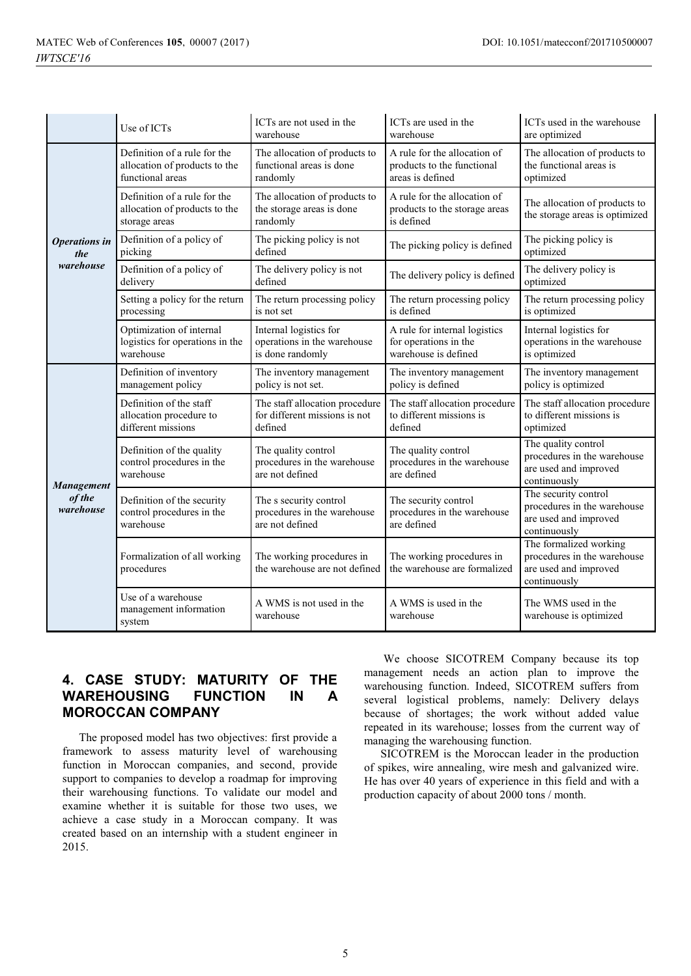|                                          | Use of ICTs                                                                       | ICTs are not used in the<br>warehouse                                      | ICTs are used in the<br>warehouse                                              | ICTs used in the warehouse<br>are optimized                                                    |
|------------------------------------------|-----------------------------------------------------------------------------------|----------------------------------------------------------------------------|--------------------------------------------------------------------------------|------------------------------------------------------------------------------------------------|
| <b>Operations</b> in<br>the<br>warehouse | Definition of a rule for the<br>allocation of products to the<br>functional areas | The allocation of products to<br>functional areas is done<br>randomly      | A rule for the allocation of<br>products to the functional<br>areas is defined | The allocation of products to<br>the functional areas is<br>optimized                          |
|                                          | Definition of a rule for the<br>allocation of products to the<br>storage areas    | The allocation of products to<br>the storage areas is done<br>randomly     | A rule for the allocation of<br>products to the storage areas<br>is defined    | The allocation of products to<br>the storage areas is optimized                                |
|                                          | Definition of a policy of<br>picking                                              | The picking policy is not<br>defined                                       | The picking policy is defined                                                  | The picking policy is<br>optimized                                                             |
|                                          | Definition of a policy of<br>delivery                                             | The delivery policy is not<br>defined                                      | The delivery policy is defined                                                 | The delivery policy is<br>optimized                                                            |
|                                          | Setting a policy for the return<br>processing                                     | The return processing policy<br>is not set                                 | The return processing policy<br>is defined                                     | The return processing policy<br>is optimized                                                   |
|                                          | Optimization of internal<br>logistics for operations in the<br>warehouse          | Internal logistics for<br>operations in the warehouse<br>is done randomly  | A rule for internal logistics<br>for operations in the<br>warehouse is defined | Internal logistics for<br>operations in the warehouse<br>is optimized                          |
| <b>Management</b><br>of the<br>warehouse | Definition of inventory<br>management policy                                      | The inventory management<br>policy is not set.                             | The inventory management<br>policy is defined                                  | The inventory management<br>policy is optimized                                                |
|                                          | Definition of the staff<br>allocation procedure to<br>different missions          | The staff allocation procedure<br>for different missions is not<br>defined | The staff allocation procedure<br>to different missions is<br>defined          | The staff allocation procedure<br>to different missions is<br>optimized                        |
|                                          | Definition of the quality<br>control procedures in the<br>warehouse               | The quality control<br>procedures in the warehouse<br>are not defined      | The quality control<br>procedures in the warehouse<br>are defined              | The quality control<br>procedures in the warehouse<br>are used and improved<br>continuously    |
|                                          | Definition of the security<br>control procedures in the<br>warehouse              | The s security control<br>procedures in the warehouse<br>are not defined   | The security control<br>procedures in the warehouse<br>are defined             | The security control<br>procedures in the warehouse<br>are used and improved<br>continuously   |
|                                          | Formalization of all working<br>procedures                                        | The working procedures in<br>the warehouse are not defined                 | The working procedures in<br>the warehouse are formalized                      | The formalized working<br>procedures in the warehouse<br>are used and improved<br>continuously |
|                                          | Use of a warehouse<br>management information<br>system                            | A WMS is not used in the<br>warehouse                                      | A WMS is used in the<br>warehouse                                              | The WMS used in the<br>warehouse is optimized                                                  |

## **4. CASE STUDY: MATURITY OF THE WAREHOUSING FUNCTION IN A MOROCCAN COMPANY**

The proposed model has two objectives: first provide a framework to assess maturity level of warehousing function in Moroccan companies, and second, provide support to companies to develop a roadmap for improving their warehousing functions. To validate our model and examine whether it is suitable for those two uses, we achieve a case study in a Moroccan company. It was created based on an internship with a student engineer in 2015.

 We choose SICOTREM Company because its top management needs an action plan to improve the warehousing function. Indeed, SICOTREM suffers from several logistical problems, namely: Delivery delays because of shortages; the work without added value repeated in its warehouse; losses from the current way of managing the warehousing function.

SICOTREM is the Moroccan leader in the production of spikes, wire annealing, wire mesh and galvanized wire. He has over 40 years of experience in this field and with a production capacity of about 2000 tons / month.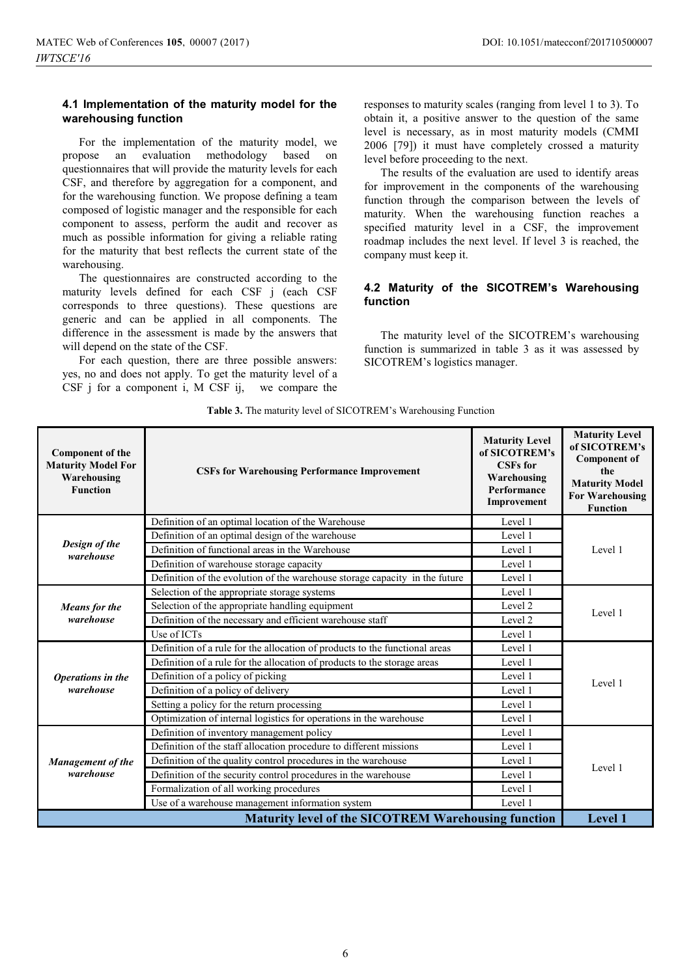#### **4.1 Implementation of the maturity model for the warehousing function**

For the implementation of the maturity model, we propose an evaluation methodology based on questionnaires that will provide the maturity levels for each CSF, and therefore by aggregation for a component, and for the warehousing function. We propose defining a team composed of logistic manager and the responsible for each component to assess, perform the audit and recover as much as possible information for giving a reliable rating for the maturity that best reflects the current state of the warehousing.

The questionnaires are constructed according to the maturity levels defined for each CSF j (each CSF corresponds to three questions). These questions are generic and can be applied in all components. The difference in the assessment is made by the answers that will depend on the state of the CSF.

For each question, there are three possible answers: yes, no and does not apply. To get the maturity level of a CSF j for a component i, M CSF ij, we compare the

responses to maturity scales (ranging from level 1 to 3). To obtain it, a positive answer to the question of the same level is necessary, as in most maturity models (CMMI 2006 [79]) it must have completely crossed a maturity level before proceeding to the next.

The results of the evaluation are used to identify areas for improvement in the components of the warehousing function through the comparison between the levels of maturity. When the warehousing function reaches a specified maturity level in a CSF, the improvement roadmap includes the next level. If level 3 is reached, the company must keep it.

## **4.2 Maturity of the SICOTREM's Warehousing function**

The maturity level of the SICOTREM's warehousing function is summarized in table 3 as it was assessed by SICOTREM's logistics manager.

**Table 3.** The maturity level of SICOTREM's Warehousing Function

| <b>Component of the</b><br><b>Maturity Model For</b><br>Warehousing<br><b>Function</b> | <b>CSFs for Warehousing Performance Improvement</b>                         | <b>Maturity Level</b><br>of SICOTREM's<br><b>CSFs</b> for<br>Warehousing<br>Performance<br>Improvement | <b>Maturity Level</b><br>of SICOTREM's<br><b>Component of</b><br>the<br><b>Maturity Model</b><br><b>For Warehousing</b><br><b>Function</b> |  |
|----------------------------------------------------------------------------------------|-----------------------------------------------------------------------------|--------------------------------------------------------------------------------------------------------|--------------------------------------------------------------------------------------------------------------------------------------------|--|
|                                                                                        | Definition of an optimal location of the Warehouse                          | Level 1                                                                                                |                                                                                                                                            |  |
|                                                                                        | Definition of an optimal design of the warehouse                            | Level 1                                                                                                |                                                                                                                                            |  |
| Design of the<br>warehouse                                                             | Definition of functional areas in the Warehouse                             | Level 1                                                                                                | Level 1                                                                                                                                    |  |
|                                                                                        | Definition of warehouse storage capacity                                    | Level 1                                                                                                |                                                                                                                                            |  |
|                                                                                        | Definition of the evolution of the warehouse storage capacity in the future | Level 1                                                                                                |                                                                                                                                            |  |
| Means for the<br>warehouse                                                             | Selection of the appropriate storage systems                                | Level 1                                                                                                | Level 1                                                                                                                                    |  |
|                                                                                        | Selection of the appropriate handling equipment                             | Level 2                                                                                                |                                                                                                                                            |  |
|                                                                                        | Definition of the necessary and efficient warehouse staff                   | Level 2                                                                                                |                                                                                                                                            |  |
|                                                                                        | Use of ICTs                                                                 | Level 1                                                                                                |                                                                                                                                            |  |
|                                                                                        | Definition of a rule for the allocation of products to the functional areas | Level 1                                                                                                | Level 1                                                                                                                                    |  |
|                                                                                        | Definition of a rule for the allocation of products to the storage areas    | Level 1                                                                                                |                                                                                                                                            |  |
| Operations in the                                                                      | Definition of a policy of picking                                           | Level 1                                                                                                |                                                                                                                                            |  |
| warehouse                                                                              | Definition of a policy of delivery                                          | Level 1                                                                                                |                                                                                                                                            |  |
|                                                                                        | Setting a policy for the return processing                                  | Level 1                                                                                                |                                                                                                                                            |  |
|                                                                                        | Optimization of internal logistics for operations in the warehouse          | Level 1                                                                                                |                                                                                                                                            |  |
| Management of the<br>warehouse                                                         | Definition of inventory management policy                                   | Level 1                                                                                                |                                                                                                                                            |  |
|                                                                                        | Definition of the staff allocation procedure to different missions          | Level 1                                                                                                | Level 1                                                                                                                                    |  |
|                                                                                        | Definition of the quality control procedures in the warehouse               | Level 1                                                                                                |                                                                                                                                            |  |
|                                                                                        | Definition of the security control procedures in the warehouse              | Level 1                                                                                                |                                                                                                                                            |  |
|                                                                                        | Formalization of all working procedures                                     | Level 1                                                                                                |                                                                                                                                            |  |
|                                                                                        | Use of a warehouse management information system                            | Level 1                                                                                                |                                                                                                                                            |  |
| <b>Maturity level of the SICOTREM Warehousing function</b>                             |                                                                             |                                                                                                        |                                                                                                                                            |  |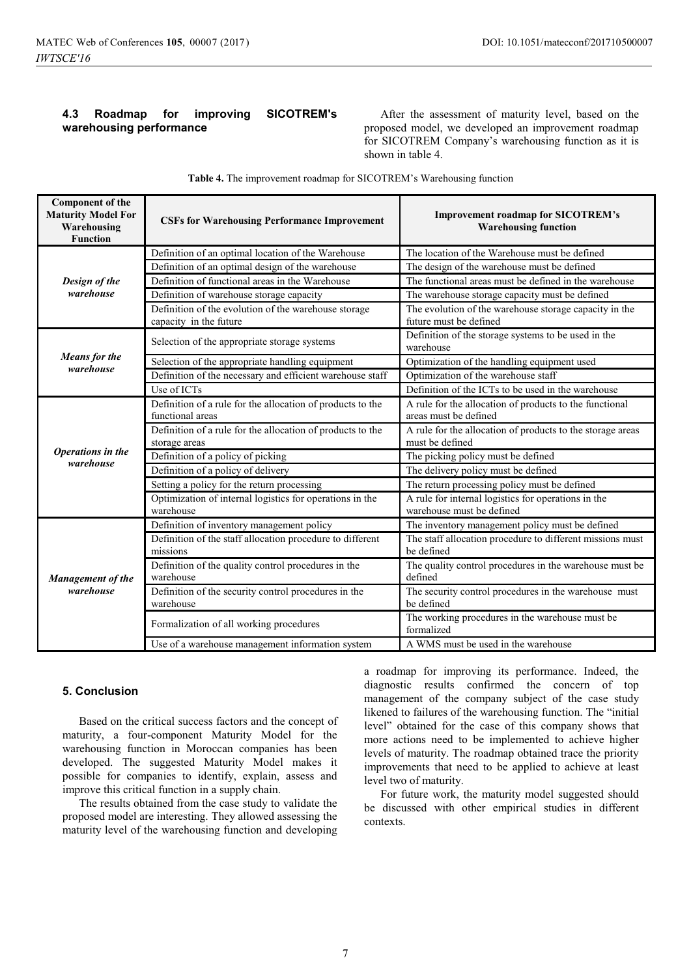### **4.3 Roadmap for improving SICOTREM's warehousing performance**

After the assessment of maturity level, based on the proposed model, we developed an improvement roadmap for SICOTREM Company's warehousing function as it is shown in table 4.

| <b>Component of the</b><br><b>Maturity Model For</b><br>Warehousing<br><b>Function</b> | <b>CSFs for Warehousing Performance Improvement</b>                            | Improvement roadmap for SICOTREM's<br><b>Warehousing function</b>                |
|----------------------------------------------------------------------------------------|--------------------------------------------------------------------------------|----------------------------------------------------------------------------------|
|                                                                                        | Definition of an optimal location of the Warehouse                             | The location of the Warehouse must be defined                                    |
|                                                                                        | Definition of an optimal design of the warehouse                               | The design of the warehouse must be defined                                      |
| Design of the                                                                          | Definition of functional areas in the Warehouse                                | The functional areas must be defined in the warehouse                            |
| warehouse                                                                              | Definition of warehouse storage capacity                                       | The warehouse storage capacity must be defined                                   |
|                                                                                        | Definition of the evolution of the warehouse storage<br>capacity in the future | The evolution of the warehouse storage capacity in the<br>future must be defined |
|                                                                                        | Selection of the appropriate storage systems                                   | Definition of the storage systems to be used in the<br>warehouse                 |
| <b>Means</b> for the                                                                   | Selection of the appropriate handling equipment                                | Optimization of the handling equipment used                                      |
| warehouse                                                                              | Definition of the necessary and efficient warehouse staff                      | Optimization of the warehouse staff                                              |
|                                                                                        | Use of ICTs                                                                    | Definition of the ICTs to be used in the warehouse                               |
|                                                                                        | Definition of a rule for the allocation of products to the<br>functional areas | A rule for the allocation of products to the functional<br>areas must be defined |
|                                                                                        | Definition of a rule for the allocation of products to the<br>storage areas    | A rule for the allocation of products to the storage areas<br>must be defined    |
| Operations in the                                                                      | Definition of a policy of picking                                              | The picking policy must be defined                                               |
| warehouse                                                                              | Definition of a policy of delivery                                             | The delivery policy must be defined                                              |
|                                                                                        | Setting a policy for the return processing                                     | The return processing policy must be defined                                     |
|                                                                                        | Optimization of internal logistics for operations in the<br>warehouse          | A rule for internal logistics for operations in the<br>warehouse must be defined |
|                                                                                        | Definition of inventory management policy                                      | The inventory management policy must be defined                                  |
| Management of the<br>warehouse                                                         | Definition of the staff allocation procedure to different<br>missions          | The staff allocation procedure to different missions must<br>be defined          |
|                                                                                        | Definition of the quality control procedures in the<br>warehouse               | The quality control procedures in the warehouse must be<br>defined               |
|                                                                                        | Definition of the security control procedures in the<br>warehouse              | The security control procedures in the warehouse must<br>be defined              |
|                                                                                        | Formalization of all working procedures                                        | The working procedures in the warehouse must be<br>formalized                    |
|                                                                                        | Use of a warehouse management information system                               | A WMS must be used in the warehouse                                              |

**Table 4.** The improvement roadmap for SICOTREM's Warehousing function

#### **5. Conclusion**

Based on the critical success factors and the concept of maturity, a four-component Maturity Model for the warehousing function in Moroccan companies has been developed. The suggested Maturity Model makes it possible for companies to identify, explain, assess and improve this critical function in a supply chain.

The results obtained from the case study to validate the proposed model are interesting. They allowed assessing the maturity level of the warehousing function and developing a roadmap for improving its performance. Indeed, the diagnostic results confirmed the concern of top management of the company subject of the case study likened to failures of the warehousing function. The "initial level" obtained for the case of this company shows that more actions need to be implemented to achieve higher levels of maturity. The roadmap obtained trace the priority improvements that need to be applied to achieve at least level two of maturity.

For future work, the maturity model suggested should be discussed with other empirical studies in different contexts.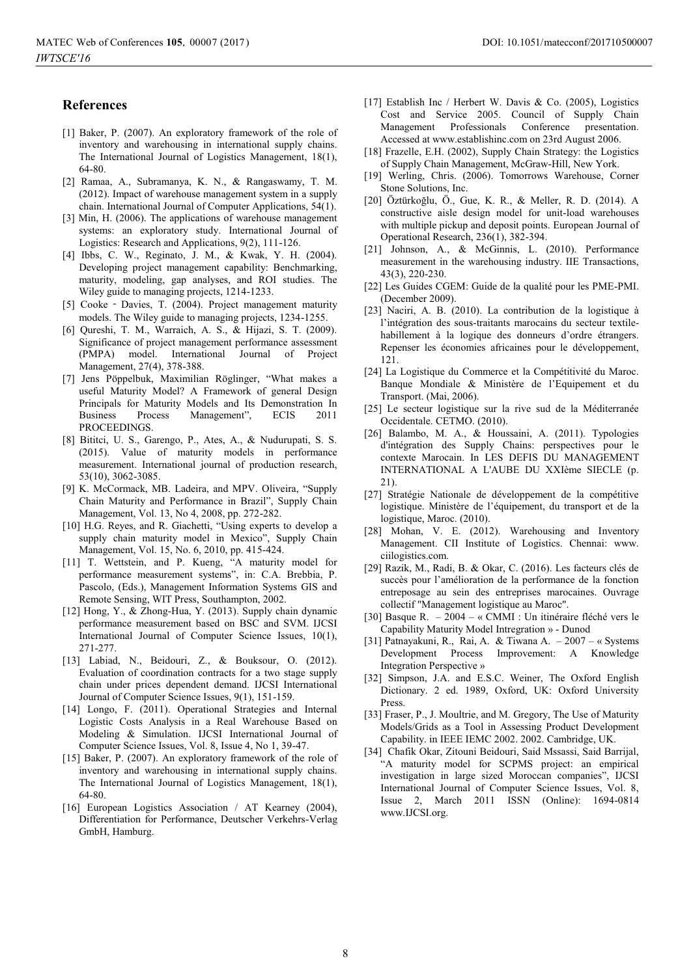#### **References**

- [1] Baker, P. (2007). An exploratory framework of the role of inventory and warehousing in international supply chains. The International Journal of Logistics Management, 18(1), 64-80.
- [2] Ramaa, A., Subramanya, K. N., & Rangaswamy, T. M. (2012). Impact of warehouse management system in a supply chain. International Journal of Computer Applications, 54(1).
- [3] Min, H. (2006). The applications of warehouse management systems: an exploratory study. International Journal of Logistics: Research and Applications, 9(2), 111-126.
- [4] Ibbs, C. W., Reginato, J. M., & Kwak, Y. H. (2004). Developing project management capability: Benchmarking, maturity, modeling, gap analyses, and ROI studies. The Wiley guide to managing projects, 1214-1233.
- [5] Cooke Davies, T. (2004). Project management maturity models. The Wiley guide to managing projects, 1234-1255.
- [6] Qureshi, T. M., Warraich, A. S., & Hijazi, S. T. (2009). Significance of project management performance assessment (PMPA) model. International Journal of Project Management, 27(4), 378-388.
- [7] Jens Pöppelbuk, Maximilian Röglinger, "What makes a useful Maturity Model? A Framework of general Design Principals for Maturity Models and Its Demonstration In Business Process Management", ECIS 2011 **PROCEEDINGS**
- [8] Bititci, U. S., Garengo, P., Ates, A., & Nudurupati, S. S. (2015). Value of maturity models in performance measurement. International journal of production research, 53(10), 3062-3085.
- [9] K. McCormack, MB. Ladeira, and MPV. Oliveira, "Supply Chain Maturity and Performance in Brazil", Supply Chain Management, Vol. 13, No 4, 2008, pp. 272-282.
- [10] H.G. Reyes, and R. Giachetti, "Using experts to develop a supply chain maturity model in Mexico", Supply Chain Management, Vol. 15, No. 6, 2010, pp. 415-424.
- [11] T. Wettstein, and P. Kueng, "A maturity model for performance measurement systems", in: C.A. Brebbia, P. Pascolo, (Eds.), Management Information Systems GIS and Remote Sensing, WIT Press, Southampton, 2002.
- [12] Hong, Y., & Zhong-Hua, Y. (2013). Supply chain dynamic performance measurement based on BSC and SVM. IJCSI International Journal of Computer Science Issues, 10(1), 271-277.
- [13] Labiad, N., Beidouri, Z., & Bouksour, O. (2012). Evaluation of coordination contracts for a two stage supply chain under prices dependent demand. IJCSI International Journal of Computer Science Issues, 9(1), 151-159.
- [14] Longo, F. (2011). Operational Strategies and Internal Logistic Costs Analysis in a Real Warehouse Based on Modeling & Simulation. IJCSI International Journal of Computer Science Issues, Vol. 8, Issue 4, No 1, 39-47.
- [15] Baker, P. (2007). An exploratory framework of the role of inventory and warehousing in international supply chains. The International Journal of Logistics Management, 18(1), 64-80.
- [16] European Logistics Association / AT Kearney (2004), Differentiation for Performance, Deutscher Verkehrs-Verlag GmbH, Hamburg.
- [17] Establish Inc / Herbert W. Davis & Co. (2005), Logistics Cost and Service 2005. Council of Supply Chain Management Professionals Conference presentation. Accessed at www.establishinc.com on 23rd August 2006.
- [18] Frazelle, E.H. (2002), Supply Chain Strategy: the Logistics of Supply Chain Management, McGraw-Hill, New York.
- [19] Werling, Chris. (2006). Tomorrows Warehouse, Corner Stone Solutions, Inc.
- [20] Öztürkoğlu, Ö., Gue, K. R., & Meller, R. D. (2014). A constructive aisle design model for unit-load warehouses with multiple pickup and deposit points. European Journal of Operational Research, 236(1), 382-394.
- [21] Johnson, A., & McGinnis, L. (2010). Performance measurement in the warehousing industry. IIE Transactions, 43(3), 220-230.
- [22] Les Guides CGEM: Guide de la qualité pour les PME-PMI. (December 2009).
- [23] Naciri, A. B. (2010). La contribution de la logistique à l'intégration des sous-traitants marocains du secteur textilehabillement à la logique des donneurs d'ordre étrangers. Repenser les économies africaines pour le développement, 121.
- [24] La Logistique du Commerce et la Compétitivité du Maroc. Banque Mondiale & Ministère de l'Equipement et du Transport. (Mai, 2006).
- [25] Le secteur logistique sur la rive sud de la Méditerranée Occidentale. CETMO. (2010).
- [26] Balambo, M. A., & Houssaini, A. (2011). Typologies d'intégration des Supply Chains: perspectives pour le contexte Marocain. In LES DEFIS DU MANAGEMENT INTERNATIONAL A L'AUBE DU XXIème SIECLE (p. 21).
- [27] Stratégie Nationale de développement de la compétitive logistique. Ministère de l'équipement, du transport et de la logistique, Maroc. (2010).
- [28] Mohan, V. E. (2012). Warehousing and Inventory Management. CII Institute of Logistics. Chennai: www. ciilogistics.com.
- [29] Razik, M., Radi, B. & Okar, C. (2016). Les facteurs clés de succès pour l'amélioration de la performance de la fonction entreposage au sein des entreprises marocaines. Ouvrage collectif "Management logistique au Maroc".
- [30] Basque R. 2004 « CMMI : Un itinéraire fléché vers le Capability Maturity Model Intregration » - Dunod
- [31] Patnayakuni, R., Rai, A. & Tiwana A. 2007 « Systems Development Process Improvement: A Knowledge Integration Perspective »
- [32] Simpson, J.A. and E.S.C. Weiner, The Oxford English Dictionary. 2 ed. 1989, Oxford, UK: Oxford University Press.
- [33] Fraser, P., J. Moultrie, and M. Gregory, The Use of Maturity Models/Grids as a Tool in Assessing Product Development Capability. in IEEE IEMC 2002. 2002. Cambridge, UK.
- [34] Chafik Okar, Zitouni Beidouri, Said Mssassi, Said Barrijal, "A maturity model for SCPMS project: an empirical investigation in large sized Moroccan companies", IJCSI International Journal of Computer Science Issues, Vol. 8, Issue 2, March 2011 ISSN (Online): 1694-0814 www.IJCSI.org.